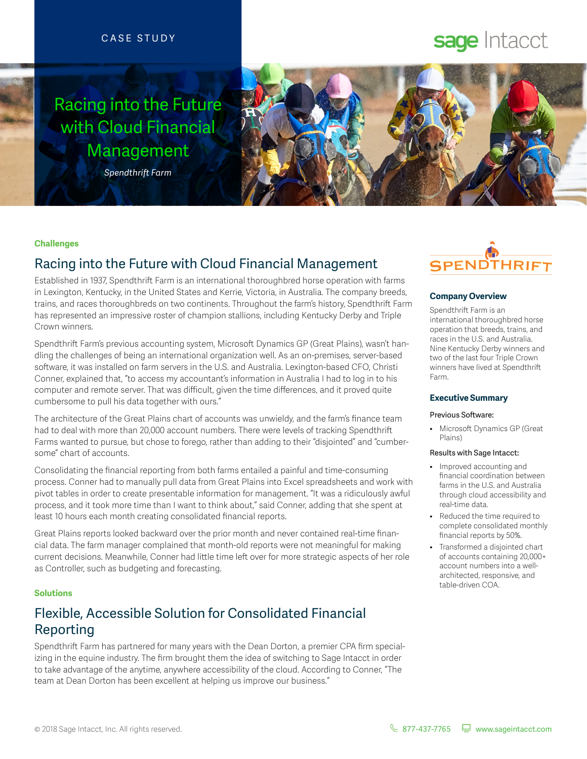### CASE STUDY

# Racing into the Future with Cloud Financial Management



### *Spendthrift Farm*

#### **Challenges**

## Racing into the Future with Cloud Financial Management

Established in 1937, Spendthrift Farm is an international thoroughbred horse operation with farms in Lexington, Kentucky, in the United States and Kerrie, Victoria, in Australia. The company breeds, trains, and races thoroughbreds on two continents. Throughout the farm's history, Spendthrift Farm has represented an impressive roster of champion stallions, including Kentucky Derby and Triple Crown winners.

Spendthrift Farm's previous accounting system, Microsoft Dynamics GP (Great Plains), wasn't handling the challenges of being an international organization well. As an on-premises, server-based software, it was installed on farm servers in the U.S. and Australia. Lexington-based CFO, Christi Conner, explained that, "to access my accountant's information in Australia I had to log in to his computer and remote server. That was difficult, given the time differences, and it proved quite cumbersome to pull his data together with ours."

The architecture of the Great Plains chart of accounts was unwieldy, and the farm's finance team had to deal with more than 20,000 account numbers. There were levels of tracking Spendthrift Farms wanted to pursue, but chose to forego, rather than adding to their "disjointed" and "cumbersome" chart of accounts.

Consolidating the financial reporting from both farms entailed a painful and time-consuming process. Conner had to manually pull data from Great Plains into Excel spreadsheets and work with pivot tables in order to create presentable information for management. "It was a ridiculously awful process, and it took more time than I want to think about," said Conner, adding that she spent at least 10 hours each month creating consolidated financial reports.

Great Plains reports looked backward over the prior month and never contained real-time financial data. The farm manager complained that month-old reports were not meaningful for making current decisions. Meanwhile, Conner had little time left over for more strategic aspects of her role as Controller, such as budgeting and forecasting.

### **Solutions**

# Flexible, Accessible Solution for Consolidated Financial Reporting

Spendthrift Farm has partnered for many years with the Dean Dorton, a premier CPA firm specializing in the equine industry. The firm brought them the idea of switching to Sage Intacct in order to take advantage of the anytime, anywhere accessibility of the cloud. According to Conner, "The team at Dean Dorton has been excellent at helping us improve our business."



sage Intacct

#### **Company Overview**

Spendthrift Farm is an international thoroughbred horse operation that breeds, trains, and races in the U.S. and Australia. Nine Kentucky Derby winners and two of the last four Triple Crown winners have lived at Spendthrift Farm.

#### **Executive Summary**

#### Previous Software:

• Microsoft Dynamics GP (Great Plains)

#### Results with Sage Intacct:

- Improved accounting and financial coordination between farms in the U.S. and Australia through cloud accessibility and real-time data.
- Reduced the time required to complete consolidated monthly financial reports by 50%.
- Transformed a disjointed chart of accounts containing 20,000+ account numbers into a wellarchitected, responsive, and table-driven COA.